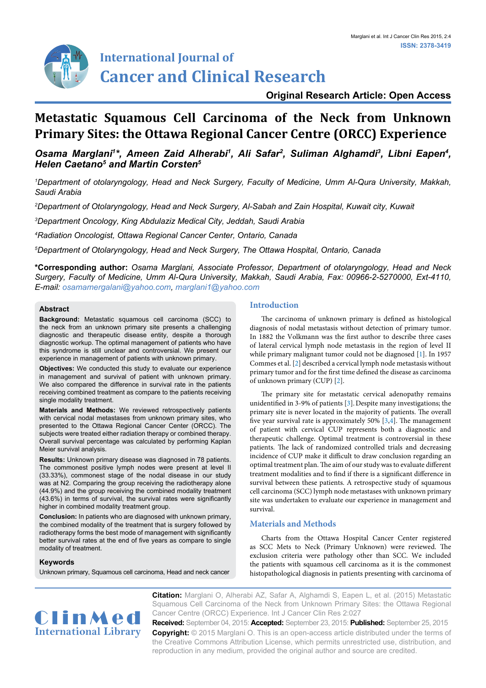

## **Original Research Article: Open Access**

# **Metastatic Squamous Cell Carcinoma of the Neck from Unknown Primary Sites: the Ottawa Regional Cancer Centre (ORCC) Experience**

# Osama Marglani<sup>1\*</sup>, Ameen Zaid Alherabi<sup>1</sup>, Ali Safar<sup>2</sup>, Suliman Alghamdi<sup>3</sup>, Libni Eapen<sup>4</sup>, *Helen Caetano5 and Martin Corsten5*

*1 Department of otolaryngology, Head and Neck Surgery, Faculty of Medicine, Umm Al-Qura University, Makkah, Saudi Arabia*

*2 Department of Otolaryngology, Head and Neck Surgery, Al-Sabah and Zain Hospital, Kuwait city, Kuwait*

*3 Department Oncology, King Abdulaziz Medical City, Jeddah, Saudi Arabia*

*4 Radiation Oncologist, Ottawa Regional Cancer Center, Ontario, Canada*

*5 Department of Otolaryngology, Head and Neck Surgery, The Ottawa Hospital, Ontario, Canada*

**\*Corresponding author:** *Osama Marglani, Associate Professor, Department of otolaryngology, Head and Neck Surgery, Faculty of Medicine, Umm Al-Qura University, Makkah, Saudi Arabia, Fax: 00966-2-5270000, Ext-4110, E-mail: osamamergalani@yahoo.com, marglani1@yahoo.com*

## **Abstract**

**Background:** Metastatic squamous cell carcinoma (SCC) to the neck from an unknown primary site presents a challenging diagnostic and therapeutic disease entity, despite a thorough diagnostic workup. The optimal management of patients who have this syndrome is still unclear and controversial. We present our experience in management of patients with unknown primary.

**Objectives:** We conducted this study to evaluate our experience in management and survival of patient with unknown primary. We also compared the difference in survival rate in the patients receiving combined treatment as compare to the patients receiving single modality treatment.

**Materials and Methods:** We reviewed retrospectively patients with cervical nodal metastases from unknown primary sites, who presented to the Ottawa Regional Cancer Center (ORCC). The subjects were treated either radiation therapy or combined therapy. Overall survival percentage was calculated by performing Kaplan Meier survival analysis.

**Results:** Unknown primary disease was diagnosed in 78 patients. The commonest positive lymph nodes were present at level II (33.33%), commonest stage of the nodal disease in our study was at N2. Comparing the group receiving the radiotherapy alone (44.9%) and the group receiving the combined modality treatment (43.6%) in terms of survival, the survival rates were significantly higher in combined modality treatment group.

**Conclusion:** In patients who are diagnosed with unknown primary, the combined modality of the treatment that is surgery followed by radiotherapy forms the best mode of management with significantly better survival rates at the end of five years as compare to single modality of treatment.

## **Keywords**

Unknown primary, Squamous cell carcinoma, Head and neck cancer

## **Introduction**

The carcinoma of unknown primary is defined as histological diagnosis of nodal metastasis without detection of primary tumor. In 1882 the Volkmann was the first author to describe three cases of lateral cervical lymph node metastasis in the region of level II while primary malignant tumor could not be diagnosed [\[1\]](#page-2-0). In 1957 Commes et al. [\[2\]](#page-2-1) described a cervical lymph node metastasis without primary tumor and for the first time defined the disease as carcinoma of unknown primary (CUP) [[2\]](#page-2-1).

The primary site for metastatic cervical adenopathy remains unidentified in 3-9% of patients [\[3](#page-2-2)].Despite many investigations; the primary site is never located in the majority of patients. The overall five year survival rate is approximately 50%  $[3,4]$  $[3,4]$  $[3,4]$ . The management of patient with cervical CUP represents both a diagnostic and therapeutic challenge. Optimal treatment is controversial in these patients. The lack of randomized controlled trials and decreasing incidence of CUP make it difficult to draw conclusion regarding an optimal treatment plan. The aim of our study was to evaluate different treatment modalities and to find if there is a significant difference in survival between these patients. A retrospective study of squamous cell carcinoma (SCC) lymph node metastases with unknown primary site was undertaken to evaluate our experience in management and survival.

## **Materials and Methods**

Charts from the Ottawa Hospital Cancer Center registered as SCC Mets to Neck (Primary Unknown) were reviewed. The exclusion criteria were pathology other than SCC. We included the patients with squamous cell carcinoma as it is the commonest histopathological diagnosis in patients presenting with carcinoma of



**Citation:** Marglani O, Alherabi AZ, Safar A, Alghamdi S, Eapen L, et al. (2015) Metastatic Squamous Cell Carcinoma of the Neck from Unknown Primary Sites: the Ottawa Regional Cancer Centre (ORCC) Experience. Int J Cancer Clin Res 2:027

**Received:** September 04, 2015: **Accepted:** September 23, 2015: **Published:** September 25, 2015 **Copyright:** © 2015 Marglani O. This is an open-access article distributed under the terms of the Creative Commons Attribution License, which permits unrestricted use, distribution, and reproduction in any medium, provided the original author and source are credited.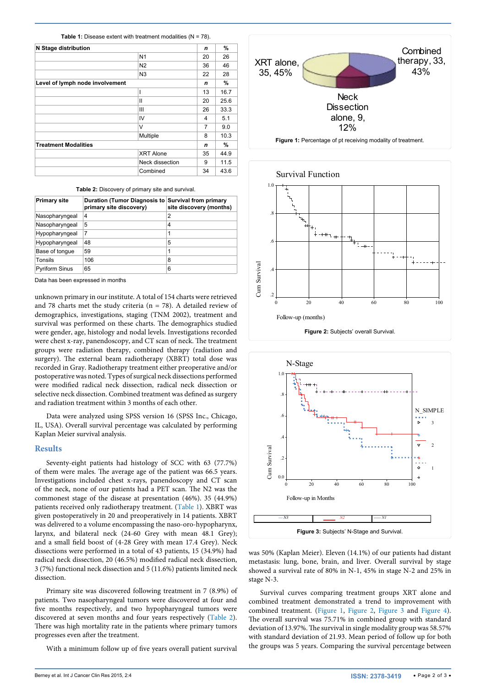<span id="page-1-3"></span>**Table 1:** Disease extent with treatment modalities (N = 78).

| N Stage distribution            |                  | n  | $\%$ |
|---------------------------------|------------------|----|------|
|                                 | N <sub>1</sub>   | 20 | 26   |
|                                 | N2               | 36 | 46   |
|                                 | N <sub>3</sub>   | 22 | 28   |
| Level of lymph node involvement |                  | n  | %    |
|                                 | ı                | 13 | 16.7 |
|                                 | Ш                | 20 | 25.6 |
|                                 | Ш                | 26 | 33.3 |
|                                 | IV               | 4  | 5.1  |
|                                 | V                | 7  | 9.0  |
|                                 | Multiple         | 8  | 10.3 |
| <b>Treatment Modalities</b>     |                  | n  | ℅    |
|                                 | <b>XRT Alone</b> | 35 | 44.9 |
|                                 | Neck dissection  | 9  | 11.5 |
|                                 | Combined         | 34 | 43.6 |

<span id="page-1-4"></span>**Table 2:** Discovery of primary site and survival.

| <b>Primary site</b>   | Duration (Tumor Diagnosis to Survival from primary<br>primary site discovery) | site discovery (months) |
|-----------------------|-------------------------------------------------------------------------------|-------------------------|
| Nasopharyngeal        | 4                                                                             | 2                       |
| Nasopharyngeal        | 5                                                                             | 4                       |
| Hypopharyngeal        | 7                                                                             | 1                       |
| Hypopharyngeal        | 48                                                                            | 5                       |
| Base of tonque        | 59                                                                            | 1                       |
| Tonsils               | 106                                                                           | 8                       |
| <b>Pyriform Sinus</b> | 65                                                                            | 6                       |

Data has been expressed in months

unknown primary in our institute. A total of 154 charts were retrieved and 78 charts met the study criteria ( $n = 78$ ). A detailed review of demographics, investigations, staging (TNM 2002), treatment and survival was performed on these charts. The demographics studied were gender, age, histology and nodal levels. Investigations recorded were chest x-ray, panendoscopy, and CT scan of neck. The treatment groups were radiation therapy, combined therapy (radiation and surgery). The external beam radiotherapy (XBRT) total dose was recorded in Gray. Radiotherapy treatment either preoperative and/or postoperative was noted. Types of surgical neck dissections performed were modified radical neck dissection, radical neck dissection or selective neck dissection. Combined treatment was defined as surgery and radiation treatment within 3 months of each other.

Data were analyzed using SPSS version 16 (SPSS Inc., Chicago, IL, USA). Overall survival percentage was calculated by performing Kaplan Meier survival analysis.

#### **Results**

Seventy-eight patients had histology of SCC with 63 (77.7%) of them were males. The average age of the patient was 66.5 years. Investigations included chest x-rays, panendoscopy and CT scan of the neck, none of our patients had a PET scan. The N2 was the commonest stage of the disease at presentation (46%). 35 (44.9%) patients received only radiotherapy treatment. [\(Table 1](#page-1-3)). XBRT was given postoperatively in 20 and preoperatively in 14 patients. XBRT was delivered to a volume encompassing the naso-oro-hypopharynx, larynx, and bilateral neck (24-60 Grey with mean 48.1 Grey); and a small field boost of (4-28 Grey with mean 17.4 Grey). Neck dissections were performed in a total of 43 patients, 15 (34.9%) had radical neck dissection, 20 (46.5%) modified radical neck dissection, 3 (7%) functional neck dissection and 5 (11.6%) patients limited neck dissection.

Primary site was discovered following treatment in 7 (8.9%) of patients. Two nasopharyngeal tumors were discovered at four and five months respectively, and two hypopharyngeal tumors were discovered at seven months and four years respectively [\(Table 2](#page-1-4)). There was high mortality rate in the patients where primary tumors progresses even after the treatment.

With a minimum follow up of five years overall patient survival

<span id="page-1-0"></span>

<span id="page-1-1"></span>

<span id="page-1-2"></span>

was 50% (Kaplan Meier). Eleven (14.1%) of our patients had distant metastasis: lung, bone, brain, and liver. Overall survival by stage showed a survival rate of 80% in N-1, 45% in stage N-2 and 25% in stage N-3.

Survival curves comparing treatment groups XRT alone and combined treatment demonstrated a trend to improvement with combined treatment. [\(Figure 1,](#page-1-0) [Figure 2,](#page-1-1) [Figure 3](#page-1-2) and [Figure 4\)](#page-2-4). The overall survival was 75.71% in combined group with standard deviation of 13.97%. The survival in single modality group was 58.57% with standard deviation of 21.93. Mean period of follow up for both the groups was 5 years. Comparing the survival percentage between